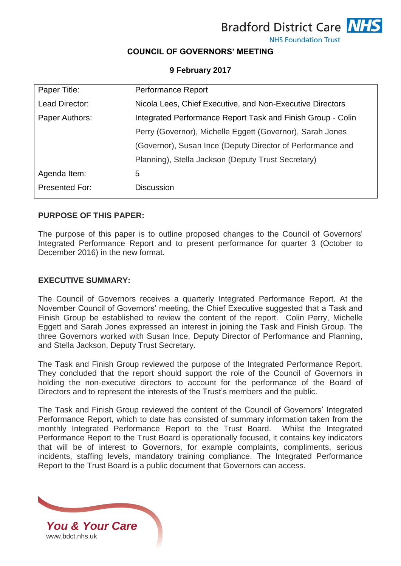**Bradford District Care NHS** 



#### **NHS Foundation Trust**

## **COUNCIL OF GOVERNORS' MEETING**

### **9 February 2017**

| Paper Title:   | Performance Report                                          |
|----------------|-------------------------------------------------------------|
| Lead Director: | Nicola Lees, Chief Executive, and Non-Executive Directors   |
| Paper Authors: | Integrated Performance Report Task and Finish Group - Colin |
|                | Perry (Governor), Michelle Eggett (Governor), Sarah Jones   |
|                | (Governor), Susan Ince (Deputy Director of Performance and  |
|                | Planning), Stella Jackson (Deputy Trust Secretary)          |
| Agenda Item:   | 5                                                           |
| Presented For: | <b>Discussion</b>                                           |

### **PURPOSE OF THIS PAPER:**

The purpose of this paper is to outline proposed changes to the Council of Governors' Integrated Performance Report and to present performance for quarter 3 (October to December 2016) in the new format.

### **EXECUTIVE SUMMARY:**

The Council of Governors receives a quarterly Integrated Performance Report. At the November Council of Governors' meeting, the Chief Executive suggested that a Task and Finish Group be established to review the content of the report. Colin Perry, Michelle Eggett and Sarah Jones expressed an interest in joining the Task and Finish Group. The three Governors worked with Susan Ince, Deputy Director of Performance and Planning, and Stella Jackson, Deputy Trust Secretary.

The Task and Finish Group reviewed the purpose of the Integrated Performance Report. They concluded that the report should support the role of the Council of Governors in holding the non-executive directors to account for the performance of the Board of Directors and to represent the interests of the Trust's members and the public.

The Task and Finish Group reviewed the content of the Council of Governors' Integrated Performance Report, which to date has consisted of summary information taken from the monthly Integrated Performance Report to the Trust Board. Whilst the Integrated Performance Report to the Trust Board is operationally focused, it contains key indicators that will be of interest to Governors, for example complaints, compliments, serious incidents, staffing levels, mandatory training compliance. The Integrated Performance Report to the Trust Board is a public document that Governors can access.